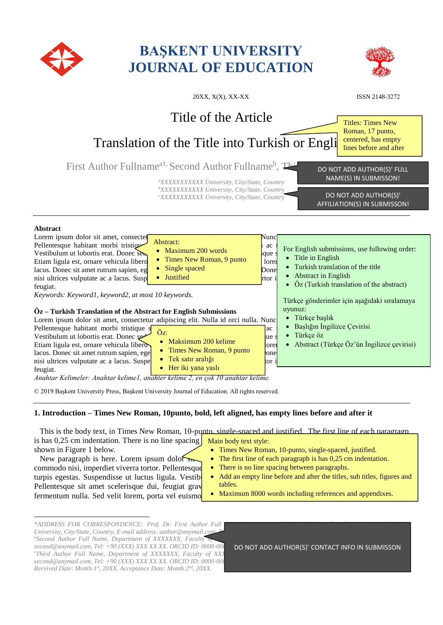

# **BAŞKENT UNIVERSITY JOURNAL OF EDUCATION**



| $20XX, X(X), XX-XX$                                                                                                                                                                                                                                                                                                                                                                                                                                                                                                                                                                                                                                                                                                                                                                                                                                                                                                                                                                                                                                                                                                                                                                                                                                                                                                                                  | ISSN 2148-3272                                                                                                                                                                                                                                                                                                                                                |
|------------------------------------------------------------------------------------------------------------------------------------------------------------------------------------------------------------------------------------------------------------------------------------------------------------------------------------------------------------------------------------------------------------------------------------------------------------------------------------------------------------------------------------------------------------------------------------------------------------------------------------------------------------------------------------------------------------------------------------------------------------------------------------------------------------------------------------------------------------------------------------------------------------------------------------------------------------------------------------------------------------------------------------------------------------------------------------------------------------------------------------------------------------------------------------------------------------------------------------------------------------------------------------------------------------------------------------------------------|---------------------------------------------------------------------------------------------------------------------------------------------------------------------------------------------------------------------------------------------------------------------------------------------------------------------------------------------------------------|
| Title of the Article                                                                                                                                                                                                                                                                                                                                                                                                                                                                                                                                                                                                                                                                                                                                                                                                                                                                                                                                                                                                                                                                                                                                                                                                                                                                                                                                 | <b>Titles: Times New</b><br>Roman, 17 punto,                                                                                                                                                                                                                                                                                                                  |
| Translation of the Title into Turkish or Engli                                                                                                                                                                                                                                                                                                                                                                                                                                                                                                                                                                                                                                                                                                                                                                                                                                                                                                                                                                                                                                                                                                                                                                                                                                                                                                       | centered, has empty<br>lines before and after                                                                                                                                                                                                                                                                                                                 |
| First Author Fullname <sup>al,</sup> Second Author Fullname <sup>b</sup> , This<br><sup>a</sup> XXXXXXXXXXX University, City/State, Country<br><sup>b</sup> XXXXXXXXXXX University, City/State, Country<br>"XXXXXXXXXXX University, City/State, Country                                                                                                                                                                                                                                                                                                                                                                                                                                                                                                                                                                                                                                                                                                                                                                                                                                                                                                                                                                                                                                                                                              | DO NOT ADD AUTHOR(S)' FULL<br>NAME(S) IN SUBMISSON!<br>DO NOT ADD AUTHOR(S)'<br>AFFILIATION(S) IN SUBMISSON!                                                                                                                                                                                                                                                  |
| Abstract<br>Lorem ipsum dolor sit amet, consectet<br>Nunc<br>Abstract:<br>Pellentesque habitant morbi tristique<br>ac<br>• Maximum 200 words<br>Vestibulum ut lobortis erat. Donec ses<br>que<br>• Times New Roman, 9 punto<br>Etiam ligula est, ornare vehicula libero<br>lorer<br>Single spaced<br>$\bullet$<br>lacus. Donec sit amet rutrum sapien, eg<br>Donel<br>• Justified<br>nisi ultrices vulputate ac a lacus. Susp<br>rtor i<br>feugiat.<br>Keywords: Keyword1, keyword2, at most 10 keywords.<br>$Oz$ – Turkish Translation of the Abstract for English Submissions<br>Lorem ipsum dolor sit amet, consectetur adipiscing elit. Nulla id orci nulla. Nunc<br>Pellentesque habitant morbi tristique s<br>ac<br>Öz:<br>Vestibulum ut lobortis erat. Donec se<br>ue s<br>Maksimum 200 kelime<br>Etiam ligula est, ornare vehicula libero<br>lorei<br>• Times New Roman, 9 punto<br>lacus. Donec sit amet rutrum sapien, ege<br>one<br>• Tek satır aralığı<br>nisi ultrices vulputate ac a lacus. Suspe<br>tor i<br>• Her iki yana yaslı<br>feugiat.<br>$A_1, A_2, A_3, A_4, A_5, A_6, A_7, A_8, A_9, A_1, A_2, A_3, A_4, A_5, A_7, A_8, A_9, A_1, A_2, A_3, A_1, A_2, A_3, A_1, A_2, A_3, A_4, A_5, A_1, A_2, A_3, A_4, A_4, A_5, A_1, A_2, A_3, A_4, A_5, A_1, A_2, A_3, A_4, A_5, A_1, A_2, A_3, A_4, A_4, A_5, A_1, A_2, A_3, A_4, A_4,$ | For English submissions, use following order:<br>• Title in English<br>Turkish translation of the title<br><b>Abstract in English</b><br>• Öz (Turkish translation of the abstract)<br>Türkçe gönderimler için asağıdaki sıralamaya<br>uyunuz:<br>• Türkçe başlık<br>Başlığın İngilizce Çevirisi<br>Türkçe öz<br>• Abstract (Türkçe Öz'ün İngilizce çevirisi) |

*Anahtar Kelimeler: Anahtar kelime1, anahter kelime 2, en çok 10 anahtar kelime.*

© 2019 Başkent University Press, Başkent University Journal of Education. All rights reserved.

# **1. Introduction – Times New Roman, 10punto, bold, left aligned, has empty lines before and after it**

This is the body text, in Times New Roman, 10-punto, single-spaced and justified. The first line of each paragragp is has  $0,25$  cm indentation. There is no line spacing shown in Figure 1 below. Main body text style: Times New Roman, 10-punto, single-spaced, justified.

- 
- New paragraph is here. Lorem ipsum dolor  $\sim$  **The first line of each paragraph is has 0,25 cm indentation.** There is no line spacing between paragraphs.
- turpis egestas. Suspendisse ut luctus ligula. Vestibl Add an empty line before and after the titles, sub titles, figures and tables.
	- Maximum 8000 words including references and appendixes.

commodo nisi, imperdiet viverra tortor. Pellentesque  $\bullet$ Pellentesque sit amet scelerisque dui, feugiat gravidae dui da justo. Etiam ligula est, ornare vehicula libero utilitzat. fermentum nulla. Sed velit lorem, porta vel euismo

\*ADDRESS FOR CORRESPONDENCE: Prof. Dr. First Author Full *University, City/State, Country, E-mail address: author@anymail.com* <sup>*b*</sup>Second Author Full Name, Department of XXXXXXX, Faculty  $\overline{C}$  $second@anymail.com, Tel: +90 (XXX) XXX XX XX. \ ORCID ID: 0000-0002$ *cThird Author Full Name, Department of XXXXXXX, Faculty of XXX second@anymail.com, Tel: +90 (XXX) XXX XX XX. ORCID ID: 0000-000 Received Date: Month 1st, 20XX. Acceptance Date: Month 2nd, 20XX.*

DO NOT ADD AUTHOR(S)' CONTACT INFO IN SUBMISSON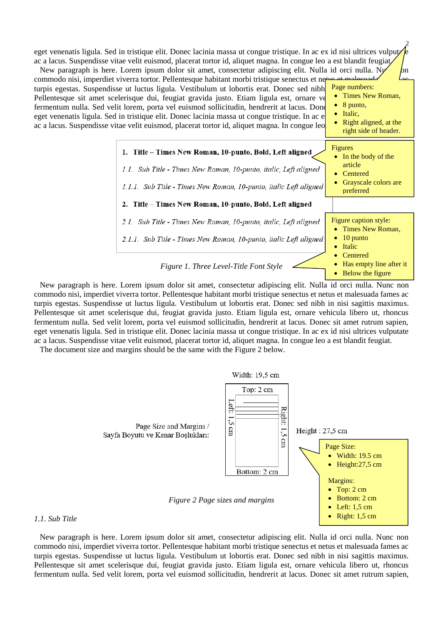eget venenatis ligula. Sed in tristique elit. Donec lacinia massa ut congue tristique. In ac ex id nisi ultrices vulput ac a lacus. Suspendisse vitae velit euismod, placerat tortor id, aliquet magna. In congue leo a est blandit feugiat. New paragraph is here. Lorem ipsum dolor sit amet, consectetur adipiscing elit. Nulla id orci nulla. N<sub>1</sub>  $\mu$ 

2



New paragraph is here. Lorem ipsum dolor sit amet, consectetur adipiscing elit. Nulla id orci nulla. Nunc non commodo nisi, imperdiet viverra tortor. Pellentesque habitant morbi tristique senectus et netus et malesuada fames ac turpis egestas. Suspendisse ut luctus ligula. Vestibulum ut lobortis erat. Donec sed nibh in nisi sagittis maximus. Pellentesque sit amet scelerisque dui, feugiat gravida justo. Etiam ligula est, ornare vehicula libero ut, rhoncus fermentum nulla. Sed velit lorem, porta vel euismod sollicitudin, hendrerit at lacus. Donec sit amet rutrum sapien, eget venenatis ligula. Sed in tristique elit. Donec lacinia massa ut congue tristique. In ac ex id nisi ultrices vulputate ac a lacus. Suspendisse vitae velit euismod, placerat tortor id, aliquet magna. In congue leo a est blandit feugiat.

The document size and margins should be the same with the Figure 2 below.

*1.1. Sub Title*



New paragraph is here. Lorem ipsum dolor sit amet, consectetur adipiscing elit. Nulla id orci nulla. Nunc non commodo nisi, imperdiet viverra tortor. Pellentesque habitant morbi tristique senectus et netus et malesuada fames ac turpis egestas. Suspendisse ut luctus ligula. Vestibulum ut lobortis erat. Donec sed nibh in nisi sagittis maximus. Pellentesque sit amet scelerisque dui, feugiat gravida justo. Etiam ligula est, ornare vehicula libero ut, rhoncus fermentum nulla. Sed velit lorem, porta vel euismod sollicitudin, hendrerit at lacus. Donec sit amet rutrum sapien,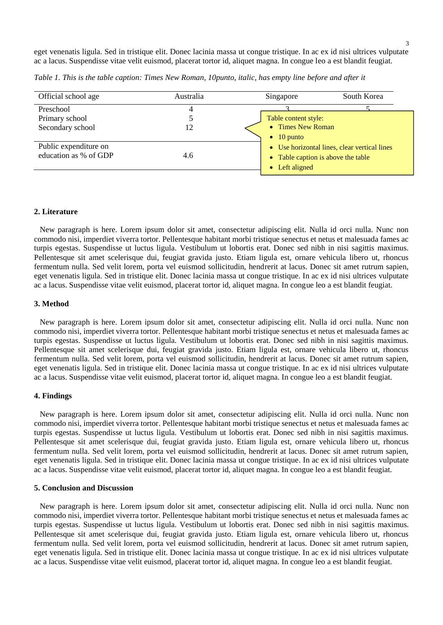eget venenatis ligula. Sed in tristique elit. Donec lacinia massa ut congue tristique. In ac ex id nisi ultrices vulputate ac a lacus. Suspendisse vitae velit euismod, placerat tortor id, aliquet magna. In congue leo a est blandit feugiat.

| Official school age   | Australia | South Korea<br>Singapore                     |
|-----------------------|-----------|----------------------------------------------|
| Preschool             |           |                                              |
| Primary school        |           | Table content style:                         |
| Secondary school      | 12        | • Times New Roman                            |
|                       |           | $\bullet$ 10 punto                           |
| Public expenditure on |           | • Use horizontal lines, clear vertical lines |
| education as % of GDP | 4.6       | • Table caption is above the table           |
|                       |           | • Left aligned                               |
|                       |           |                                              |

*Table 1. This is the table caption: Times New Roman, 10punto, italic, has empty line before and after it* 

#### **2. Literature**

New paragraph is here. Lorem ipsum dolor sit amet, consectetur adipiscing elit. Nulla id orci nulla. Nunc non commodo nisi, imperdiet viverra tortor. Pellentesque habitant morbi tristique senectus et netus et malesuada fames ac turpis egestas. Suspendisse ut luctus ligula. Vestibulum ut lobortis erat. Donec sed nibh in nisi sagittis maximus. Pellentesque sit amet scelerisque dui, feugiat gravida justo. Etiam ligula est, ornare vehicula libero ut, rhoncus fermentum nulla. Sed velit lorem, porta vel euismod sollicitudin, hendrerit at lacus. Donec sit amet rutrum sapien, eget venenatis ligula. Sed in tristique elit. Donec lacinia massa ut congue tristique. In ac ex id nisi ultrices vulputate ac a lacus. Suspendisse vitae velit euismod, placerat tortor id, aliquet magna. In congue leo a est blandit feugiat.

#### **3. Method**

New paragraph is here. Lorem ipsum dolor sit amet, consectetur adipiscing elit. Nulla id orci nulla. Nunc non commodo nisi, imperdiet viverra tortor. Pellentesque habitant morbi tristique senectus et netus et malesuada fames ac turpis egestas. Suspendisse ut luctus ligula. Vestibulum ut lobortis erat. Donec sed nibh in nisi sagittis maximus. Pellentesque sit amet scelerisque dui, feugiat gravida justo. Etiam ligula est, ornare vehicula libero ut, rhoncus fermentum nulla. Sed velit lorem, porta vel euismod sollicitudin, hendrerit at lacus. Donec sit amet rutrum sapien, eget venenatis ligula. Sed in tristique elit. Donec lacinia massa ut congue tristique. In ac ex id nisi ultrices vulputate ac a lacus. Suspendisse vitae velit euismod, placerat tortor id, aliquet magna. In congue leo a est blandit feugiat.

#### **4. Findings**

New paragraph is here. Lorem ipsum dolor sit amet, consectetur adipiscing elit. Nulla id orci nulla. Nunc non commodo nisi, imperdiet viverra tortor. Pellentesque habitant morbi tristique senectus et netus et malesuada fames ac turpis egestas. Suspendisse ut luctus ligula. Vestibulum ut lobortis erat. Donec sed nibh in nisi sagittis maximus. Pellentesque sit amet scelerisque dui, feugiat gravida justo. Etiam ligula est, ornare vehicula libero ut, rhoncus fermentum nulla. Sed velit lorem, porta vel euismod sollicitudin, hendrerit at lacus. Donec sit amet rutrum sapien, eget venenatis ligula. Sed in tristique elit. Donec lacinia massa ut congue tristique. In ac ex id nisi ultrices vulputate ac a lacus. Suspendisse vitae velit euismod, placerat tortor id, aliquet magna. In congue leo a est blandit feugiat.

#### **5. Conclusion and Discussion**

New paragraph is here. Lorem ipsum dolor sit amet, consectetur adipiscing elit. Nulla id orci nulla. Nunc non commodo nisi, imperdiet viverra tortor. Pellentesque habitant morbi tristique senectus et netus et malesuada fames ac turpis egestas. Suspendisse ut luctus ligula. Vestibulum ut lobortis erat. Donec sed nibh in nisi sagittis maximus. Pellentesque sit amet scelerisque dui, feugiat gravida justo. Etiam ligula est, ornare vehicula libero ut, rhoncus fermentum nulla. Sed velit lorem, porta vel euismod sollicitudin, hendrerit at lacus. Donec sit amet rutrum sapien, eget venenatis ligula. Sed in tristique elit. Donec lacinia massa ut congue tristique. In ac ex id nisi ultrices vulputate ac a lacus. Suspendisse vitae velit euismod, placerat tortor id, aliquet magna. In congue leo a est blandit feugiat.